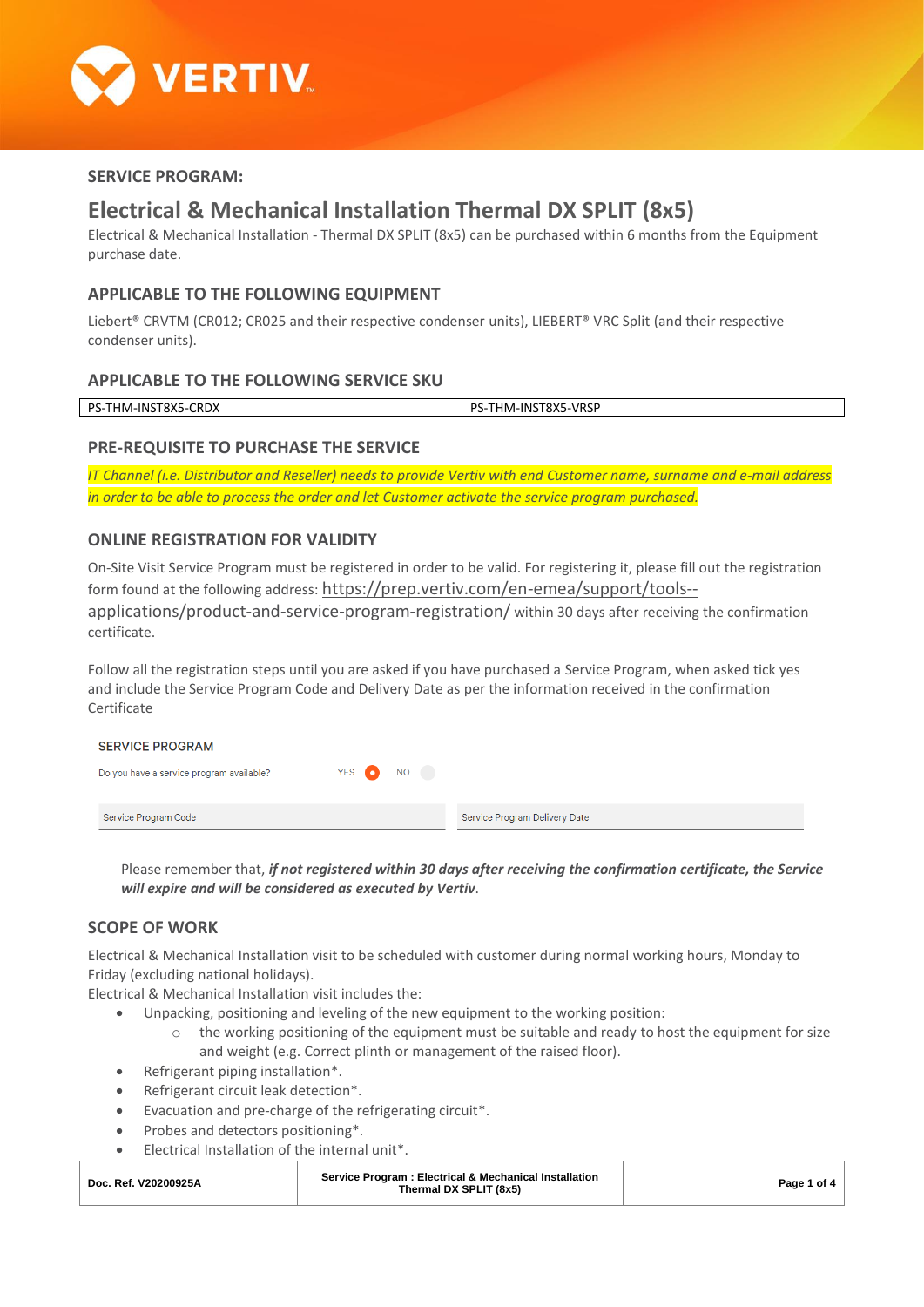

## **SERVICE PROGRAM:**

# **Electrical & Mechanical Installation Thermal DX SPLIT (8x5)**

Electrical & Mechanical Installation - Thermal DX SPLIT (8x5) can be purchased within 6 months from the Equipment purchase date.

### **APPLICABLE TO THE FOLLOWING EQUIPMENT**

Liebert<sup>®</sup> CRVTM (CR012; CR025 and their respective condenser units), LIEBERT<sup>®</sup> VRC Split (and their respective condenser units).

#### **APPLICABLE TO THE FOLLOWING SERVICE SKU**

| DC<br>-01<br>m<br>۸DХ<br>$\cdot$ | $\sqrt{2}$<br>nс<br>,,,<br>.INI<br>. IMF<br>7-V F<br>OA.<br>. |
|----------------------------------|---------------------------------------------------------------|
|                                  |                                                               |

## **PRE-REQUISITE TO PURCHASE THE SERVICE**

*IT Channel (i.e. Distributor and Reseller) needs to provide Vertiv with end Customer name, surname and e-mail address in order to be able to process the order and let Customer activate the service program purchased.*

# **ONLINE REGISTRATION FOR VALIDITY**

On-Site Visit Service Program must be registered in order to be valid. For registering it, please fill out the registration form found at the following address: [https://prep.vertiv.com/en-emea/support/tools-](https://prep.vertiv.com/en-emea/support/tools--applications/product-and-service-program-registration/) [applications/product-and-service-program-registration/](https://prep.vertiv.com/en-emea/support/tools--applications/product-and-service-program-registration/) within 30 days after receiving the confirmation certificate.

Follow all the registration steps until you are asked if you have purchased a Service Program, when asked tick yes and include the Service Program Code and Delivery Date as per the information received in the confirmation Certificate

| <b>SERVICE PROGRAM</b>                   |           |                               |
|------------------------------------------|-----------|-------------------------------|
| Do you have a service program available? | YES ON NO |                               |
| Service Program Code                     |           | Service Program Delivery Date |

Please remember that, *if not registered within 30 days after receiving the confirmation certificate, the Service will expire and will be considered as executed by Vertiv*.

## **SCOPE OF WORK**

Electrical & Mechanical Installation visit to be scheduled with customer during normal working hours, Monday to Friday (excluding national holidays).

Electrical & Mechanical Installation visit includes the:

- Unpacking, positioning and leveling of the new equipment to the working position:
	- $\circ$  the working positioning of the equipment must be suitable and ready to host the equipment for size and weight (e.g. Correct plinth or management of the raised floor).
- Refrigerant piping installation\*.
- Refrigerant circuit leak detection\*.
- Evacuation and pre-charge of the refrigerating circuit\*.
- Probes and detectors positioning\*.
- Electrical Installation of the internal unit\*.

| Service Program: Electrical & Mechanical Installation<br>Doc. Ref. V20200925A<br>Thermal DX SPLIT (8x5) | Page 1 of 4 |
|---------------------------------------------------------------------------------------------------------|-------------|
|---------------------------------------------------------------------------------------------------------|-------------|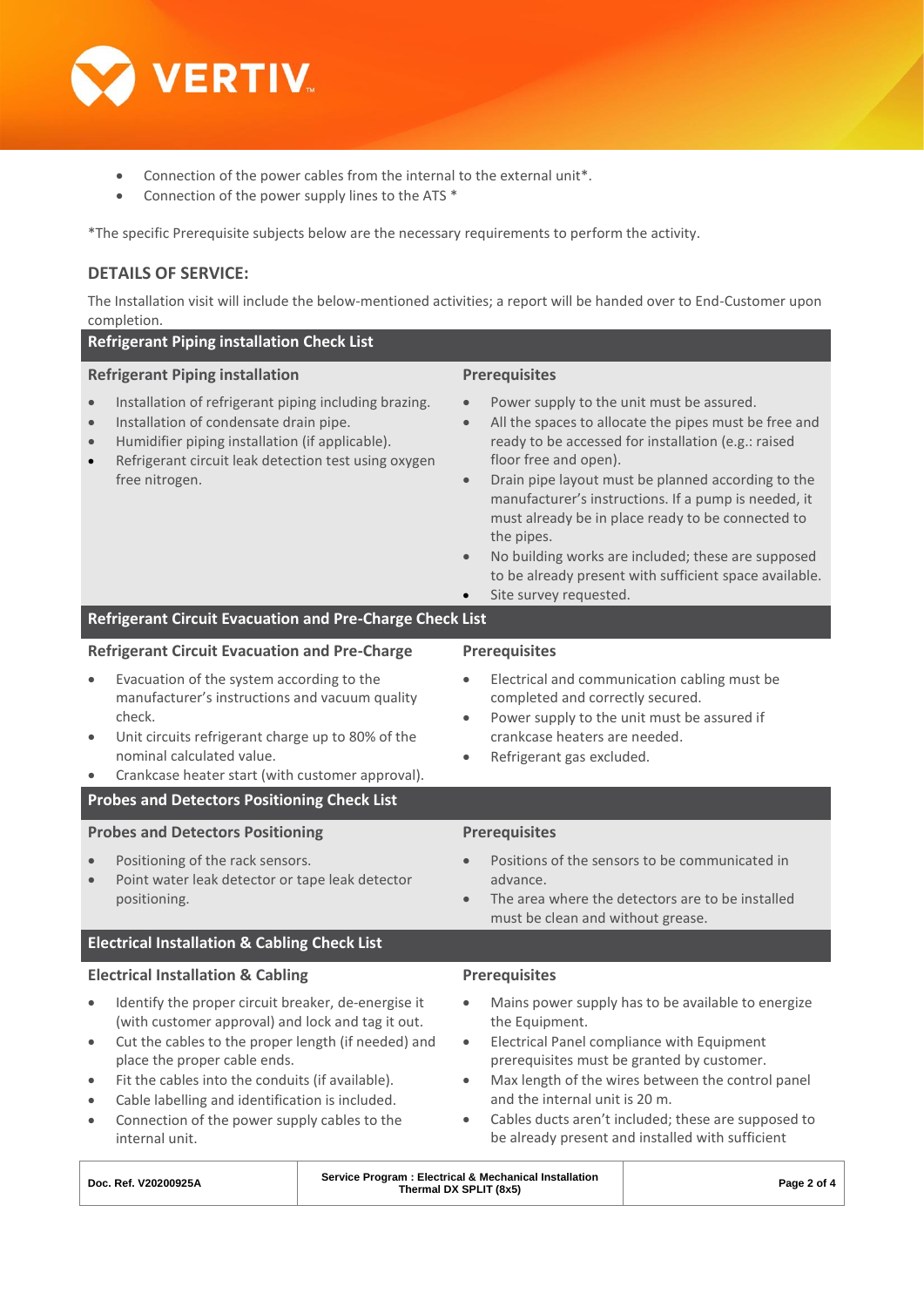

- Connection of the power cables from the internal to the external unit\*.
- Connection of the power supply lines to the ATS \*

\*The specific Prerequisite subjects below are the necessary requirements to perform the activity.

## **DETAILS OF SERVICE:**

The Installation visit will include the below-mentioned activities; a report will be handed over to End-Customer upon completion.

| <b>Refrigerant Piping installation Check List</b>                                                                                                                                                                                                                                                                                                                                                                                         |                                                                                                                                                                                                                                                                                                                                                                                                                                                                                                                                                      |  |  |  |  |
|-------------------------------------------------------------------------------------------------------------------------------------------------------------------------------------------------------------------------------------------------------------------------------------------------------------------------------------------------------------------------------------------------------------------------------------------|------------------------------------------------------------------------------------------------------------------------------------------------------------------------------------------------------------------------------------------------------------------------------------------------------------------------------------------------------------------------------------------------------------------------------------------------------------------------------------------------------------------------------------------------------|--|--|--|--|
| <b>Refrigerant Piping installation</b>                                                                                                                                                                                                                                                                                                                                                                                                    | <b>Prerequisites</b>                                                                                                                                                                                                                                                                                                                                                                                                                                                                                                                                 |  |  |  |  |
| Installation of refrigerant piping including brazing.<br>$\bullet$<br>Installation of condensate drain pipe.<br>$\bullet$<br>Humidifier piping installation (if applicable).<br>$\bullet$<br>Refrigerant circuit leak detection test using oxygen<br>$\bullet$<br>free nitrogen.                                                                                                                                                          | Power supply to the unit must be assured.<br>All the spaces to allocate the pipes must be free and<br>$\bullet$<br>ready to be accessed for installation (e.g.: raised<br>floor free and open).<br>Drain pipe layout must be planned according to the<br>$\bullet$<br>manufacturer's instructions. If a pump is needed, it<br>must already be in place ready to be connected to<br>the pipes.<br>No building works are included; these are supposed<br>$\bullet$<br>to be already present with sufficient space available.<br>Site survey requested. |  |  |  |  |
| Refrigerant Circuit Evacuation and Pre-Charge Check List                                                                                                                                                                                                                                                                                                                                                                                  |                                                                                                                                                                                                                                                                                                                                                                                                                                                                                                                                                      |  |  |  |  |
| <b>Refrigerant Circuit Evacuation and Pre-Charge</b>                                                                                                                                                                                                                                                                                                                                                                                      | <b>Prerequisites</b>                                                                                                                                                                                                                                                                                                                                                                                                                                                                                                                                 |  |  |  |  |
| Evacuation of the system according to the<br>$\bullet$<br>manufacturer's instructions and vacuum quality<br>check.<br>Unit circuits refrigerant charge up to 80% of the<br>$\bullet$<br>nominal calculated value.<br>Crankcase heater start (with customer approval).<br>$\bullet$<br><b>Probes and Detectors Positioning Check List</b>                                                                                                  | Electrical and communication cabling must be<br>$\bullet$<br>completed and correctly secured.<br>Power supply to the unit must be assured if<br>$\bullet$<br>crankcase heaters are needed.<br>Refrigerant gas excluded.<br>$\bullet$                                                                                                                                                                                                                                                                                                                 |  |  |  |  |
| <b>Probes and Detectors Positioning</b>                                                                                                                                                                                                                                                                                                                                                                                                   | <b>Prerequisites</b>                                                                                                                                                                                                                                                                                                                                                                                                                                                                                                                                 |  |  |  |  |
| Positioning of the rack sensors.<br>Point water leak detector or tape leak detector<br>$\bullet$<br>positioning.                                                                                                                                                                                                                                                                                                                          | Positions of the sensors to be communicated in<br>advance.<br>The area where the detectors are to be installed<br>$\bullet$<br>must be clean and without grease.                                                                                                                                                                                                                                                                                                                                                                                     |  |  |  |  |
| <b>Electrical Installation &amp; Cabling Check List</b>                                                                                                                                                                                                                                                                                                                                                                                   |                                                                                                                                                                                                                                                                                                                                                                                                                                                                                                                                                      |  |  |  |  |
| <b>Electrical Installation &amp; Cabling</b>                                                                                                                                                                                                                                                                                                                                                                                              | <b>Prerequisites</b>                                                                                                                                                                                                                                                                                                                                                                                                                                                                                                                                 |  |  |  |  |
| Identify the proper circuit breaker, de-energise it<br>$\bullet$<br>(with customer approval) and lock and tag it out.<br>Cut the cables to the proper length (if needed) and<br>$\bullet$<br>place the proper cable ends.<br>Fit the cables into the conduits (if available).<br>$\bullet$<br>Cable labelling and identification is included.<br>$\bullet$<br>Connection of the power supply cables to the<br>$\bullet$<br>internal unit. | Mains power supply has to be available to energize<br>$\bullet$<br>the Equipment.<br>Electrical Panel compliance with Equipment<br>$\bullet$<br>prerequisites must be granted by customer.<br>Max length of the wires between the control panel<br>$\bullet$<br>and the internal unit is 20 m.<br>Cables ducts aren't included; these are supposed to<br>$\bullet$<br>be already present and installed with sufficient                                                                                                                               |  |  |  |  |

| Doc. Ref. V20200925A | Service Program: Electrical & Mechanical Installation<br>Thermal DX SPLIT (8x5) | Page 2 of 4 |
|----------------------|---------------------------------------------------------------------------------|-------------|
|                      |                                                                                 |             |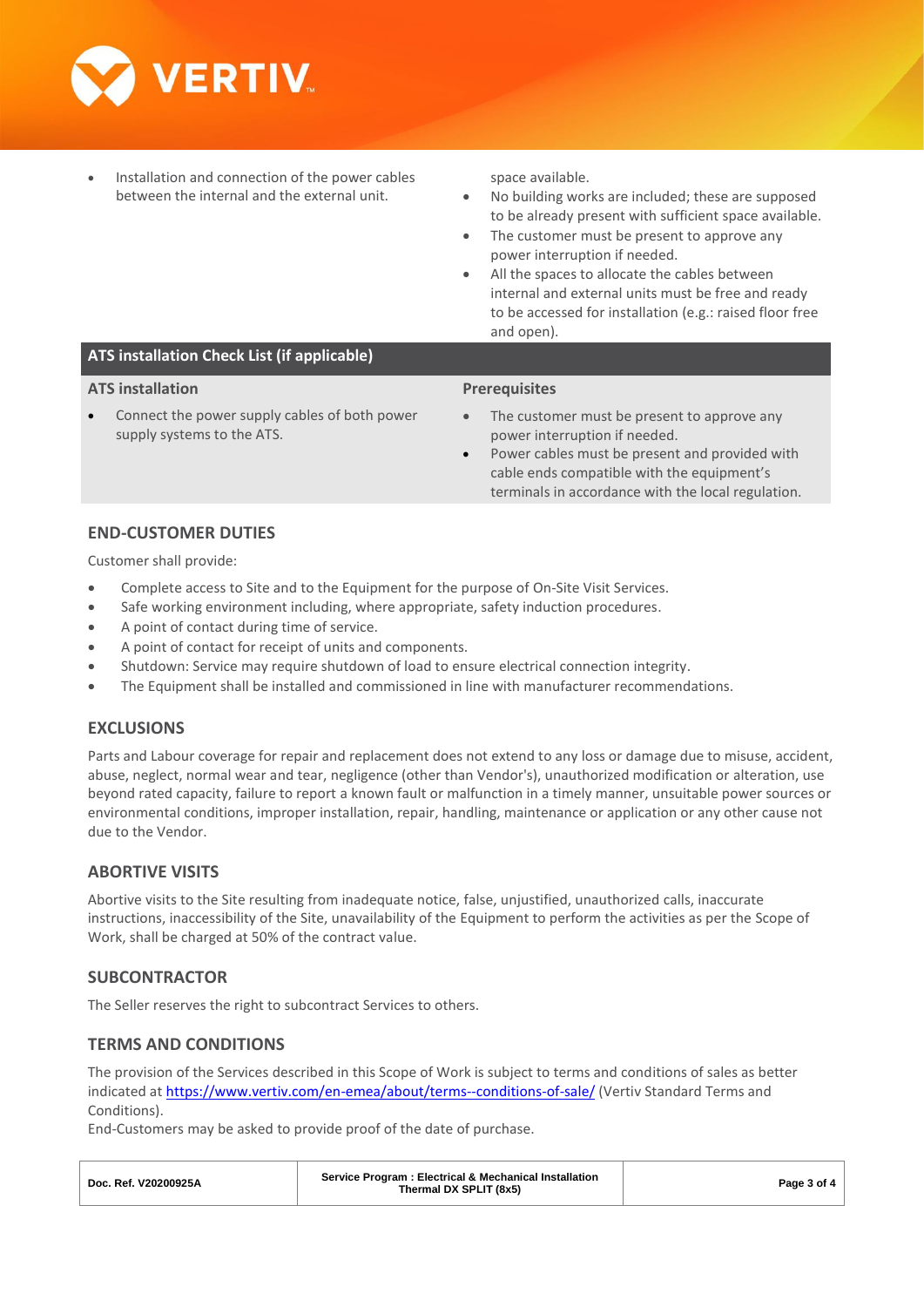

• Installation and connection of the power cables between the internal and the external unit.

space available.

- No building works are included; these are supposed to be already present with sufficient space available.
- The customer must be present to approve any power interruption if needed.
- All the spaces to allocate the cables between internal and external units must be free and ready to be accessed for installation (e.g.: raised floor free and open).

# **ATS installation Check List (if applicable)**

#### **ATS installation**

Connect the power supply cables of both power supply systems to the ATS.

#### **Prerequisites**

- The customer must be present to approve any power interruption if needed.
- Power cables must be present and provided with cable ends compatible with the equipment's terminals in accordance with the local regulation.

#### **END-CUSTOMER DUTIES**

Customer shall provide:

- Complete access to Site and to the Equipment for the purpose of On-Site Visit Services.
- Safe working environment including, where appropriate, safety induction procedures.
- A point of contact during time of service.
- A point of contact for receipt of units and components.
- Shutdown: Service may require shutdown of load to ensure electrical connection integrity.
- The Equipment shall be installed and commissioned in line with manufacturer recommendations.

#### **EXCLUSIONS**

Parts and Labour coverage for repair and replacement does not extend to any loss or damage due to misuse, accident, abuse, neglect, normal wear and tear, negligence (other than Vendor's), unauthorized modification or alteration, use beyond rated capacity, failure to report a known fault or malfunction in a timely manner, unsuitable power sources or environmental conditions, improper installation, repair, handling, maintenance or application or any other cause not due to the Vendor.

## **ABORTIVE VISITS**

Abortive visits to the Site resulting from inadequate notice, false, unjustified, unauthorized calls, inaccurate instructions, inaccessibility of the Site, unavailability of the Equipment to perform the activities as per the Scope of Work, shall be charged at 50% of the contract value.

## **SUBCONTRACTOR**

The Seller reserves the right to subcontract Services to others.

## **TERMS AND CONDITIONS**

The provision of the Services described in this Scope of Work is subject to terms and conditions of sales as better indicated at<https://www.vertiv.com/en-emea/about/terms--conditions-of-sale/> (Vertiv Standard Terms and Conditions).

End-Customers may be asked to provide proof of the date of purchase.